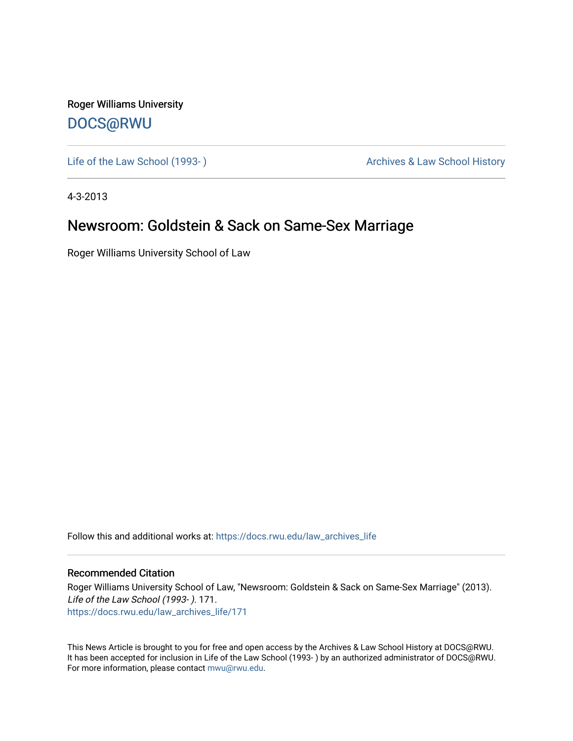Roger Williams University [DOCS@RWU](https://docs.rwu.edu/)

Life of the Law School (1993-) **Archives & Law School History** Archives & Law School History

4-3-2013

### Newsroom: Goldstein & Sack on Same-Sex Marriage

Roger Williams University School of Law

Follow this and additional works at: [https://docs.rwu.edu/law\\_archives\\_life](https://docs.rwu.edu/law_archives_life?utm_source=docs.rwu.edu%2Flaw_archives_life%2F171&utm_medium=PDF&utm_campaign=PDFCoverPages)

### Recommended Citation

Roger Williams University School of Law, "Newsroom: Goldstein & Sack on Same-Sex Marriage" (2013). Life of the Law School (1993- ). 171. [https://docs.rwu.edu/law\\_archives\\_life/171](https://docs.rwu.edu/law_archives_life/171?utm_source=docs.rwu.edu%2Flaw_archives_life%2F171&utm_medium=PDF&utm_campaign=PDFCoverPages)

This News Article is brought to you for free and open access by the Archives & Law School History at DOCS@RWU. It has been accepted for inclusion in Life of the Law School (1993- ) by an authorized administrator of DOCS@RWU. For more information, please contact [mwu@rwu.edu](mailto:mwu@rwu.edu).